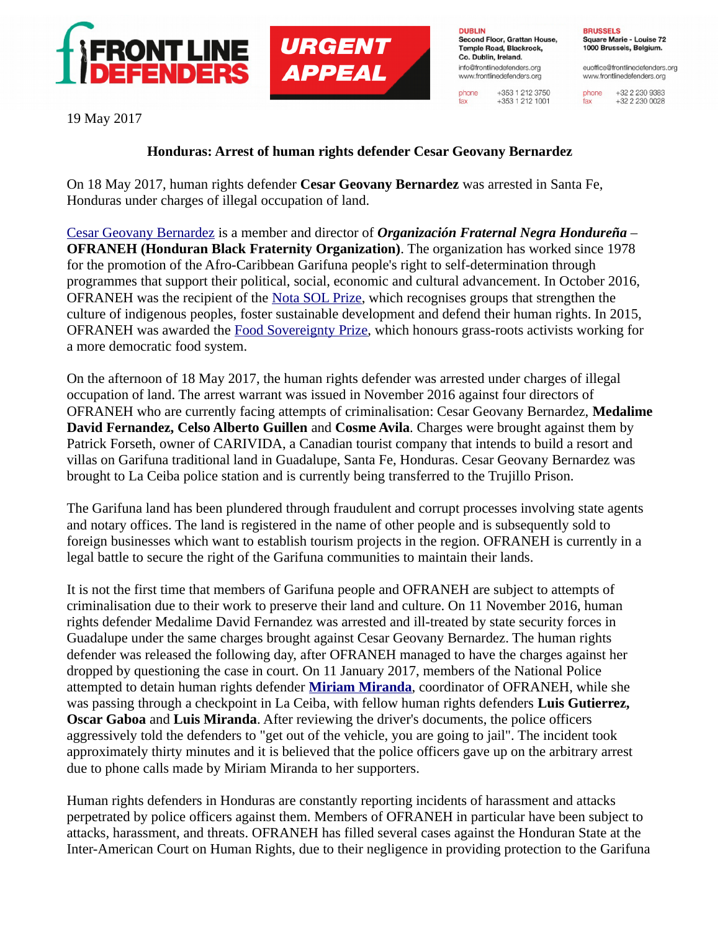



**DUBLIN** Second Floor, Grattan House, Temple Road, Blackrock. Co. Dublin, Ireland. info@frontlinedefenders.org www.frontlinedefenders.org

phone

fax

+353 1 212 3750

 $+353$  1 212 1001

**BRUSSELS** Square Marie - Louise 72 1000 Brussels, Belgium.

euoffice@frontlinedefenders.org www.frontlinedefenders.org

+32 2 230 9383 phone +32 2 230 0028 fax

19 May 2017

## **Honduras: Arrest of human rights defender Cesar Geovany Bernardez**

On 18 May 2017, human rights defender **Cesar Geovany Bernardez** was arrested in Santa Fe, Honduras under charges of illegal occupation of land.

[Cesar Geovany Bernardez](https://www.frontlinedefenders.org/en/profile/cesar-geovany-bernardez) is a member and director of *Organización Fraternal Negra Hondureña* – **OFRANEH (Honduran Black Fraternity Organization)**. The organization has worked since 1978 for the promotion of the Afro-Caribbean Garifuna people's right to self-determination through programmes that support their political, social, economic and cultural advancement. In October 2016, OFRANEH was the recipient of the [Nota SOL Prize,](https://www.escr-net.org/news/2016/ofraneh-receives-two-awards-recognition-work-support-garifuna-communities-and-environment) which recognises groups that strengthen the culture of indigenous peoples, foster sustainable development and defend their human rights. In 2015, OFRANEH was awarded the [Food Sovereignty Prize,](http://foodsovereigntyprize.org/portfolio/international-winner/) which honours grass-roots activists working for a more democratic food system.

On the afternoon of 18 May 2017, the human rights defender was arrested under charges of illegal occupation of land. The arrest warrant was issued in November 2016 against four directors of OFRANEH who are currently facing attempts of criminalisation: Cesar Geovany Bernardez, **Medalime David Fernandez, Celso Alberto Guillen** and **Cosme Avila**. Charges were brought against them by Patrick Forseth, owner of CARIVIDA, a Canadian tourist company that intends to build a resort and villas on Garifuna traditional land in Guadalupe, Santa Fe, Honduras. Cesar Geovany Bernardez was brought to La Ceiba police station and is currently being transferred to the Trujillo Prison.

The Garifuna land has been plundered through fraudulent and corrupt processes involving state agents and notary offices. The land is registered in the name of other people and is subsequently sold to foreign businesses which want to establish tourism projects in the region. OFRANEH is currently in a legal battle to secure the right of the Garifuna communities to maintain their lands.

It is not the first time that members of Garifuna people and OFRANEH are subject to attempts of criminalisation due to their work to preserve their land and culture. On 11 November 2016, human rights defender Medalime David Fernandez was arrested and ill-treated by state security forces in Guadalupe under the same charges brought against Cesar Geovany Bernardez. The human rights defender was released the following day, after OFRANEH managed to have the charges against her dropped by questioning the case in court. On 11 January 2017, members of the National Police attempted to detain human rights defender **[Miriam Miranda](https://www.frontlinedefenders.org/en/profile/miriam-miranda-chamorro)**, coordinator of OFRANEH, while she was passing through a checkpoint in La Ceiba, with fellow human rights defenders **Luis Gutierrez, Oscar Gaboa** and **Luis Miranda**. After reviewing the driver's documents, the police officers aggressively told the defenders to "get out of the vehicle, you are going to jail". The incident took approximately thirty minutes and it is believed that the police officers gave up on the arbitrary arrest due to phone calls made by Miriam Miranda to her supporters.

Human rights defenders in Honduras are constantly reporting incidents of harassment and attacks perpetrated by police officers against them. Members of OFRANEH in particular have been subject to attacks, harassment, and threats. OFRANEH has filled several cases against the Honduran State at the Inter-American Court on Human Rights, due to their negligence in providing protection to the Garifuna